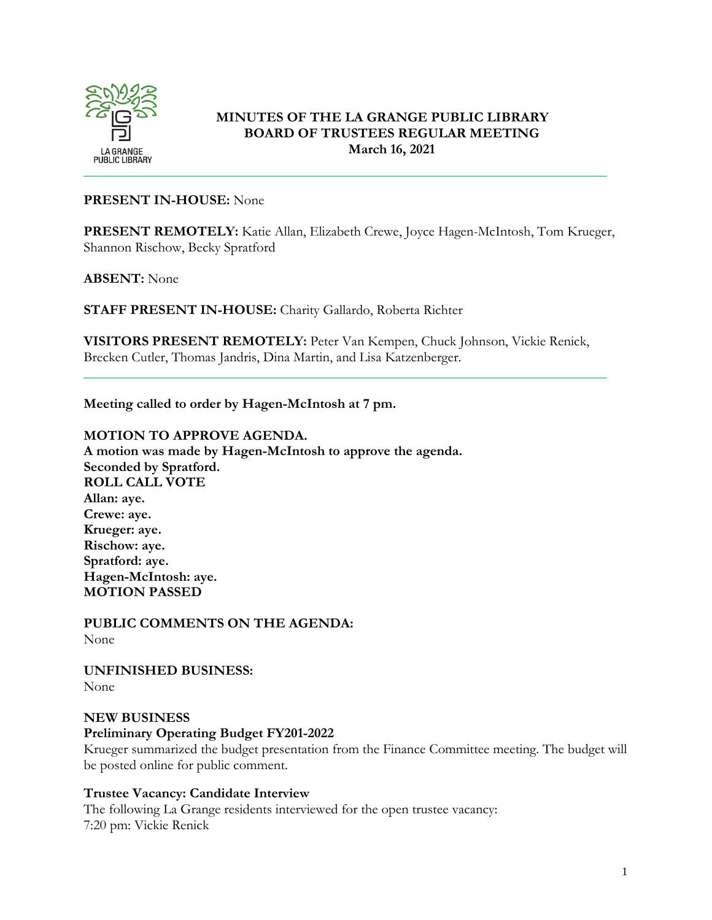

# **MINUTES OF THE LA GRANGE PUBLIC LIBRARY BOARD OF TRUSTEES REGULAR MEETING March 16, 2021**

### **PRESENT IN-HOUSE:** None

**PRESENT REMOTELY:** Katie Allan, Elizabeth Crewe, Joyce Hagen-McIntosh, Tom Krueger, Shannon Rischow, Becky Spratford

#### **ABSENT:** None

**STAFF PRESENT IN-HOUSE:** Charity Gallardo, Roberta Richter

**VISITORS PRESENT REMOTELY:** Peter Van Kempen, Chuck Johnson, Vickie Renick, Brecken Cutler, Thomas Jandris, Dina Martin, and Lisa Katzenberger.

\_\_\_\_\_\_\_\_\_\_\_\_\_\_\_\_\_\_\_\_\_\_\_\_\_\_\_\_\_\_\_\_\_\_\_\_\_\_\_\_\_\_\_\_\_\_\_\_\_\_\_\_\_\_\_\_\_\_\_\_\_\_\_\_\_\_\_\_\_\_\_\_\_\_\_

**Meeting called to order by Hagen-McIntosh at 7 pm.** 

### **MOTION TO APPROVE AGENDA.**

**A motion was made by Hagen-McIntosh to approve the agenda. Seconded by Spratford. ROLL CALL VOTE Allan: aye. Crewe: aye. Krueger: aye. Rischow: aye. Spratford: aye. Hagen-McIntosh: aye. MOTION PASSED**

**PUBLIC COMMENTS ON THE AGENDA:**  None

**UNFINISHED BUSINESS:**  None

### **NEW BUSINESS**

#### **Preliminary Operating Budget FY201-2022**

Krueger summarized the budget presentation from the Finance Committee meeting. The budget will be posted online for public comment.

### **Trustee Vacancy: Candidate Interview**

The following La Grange residents interviewed for the open trustee vacancy: 7:20 pm: Vickie Renick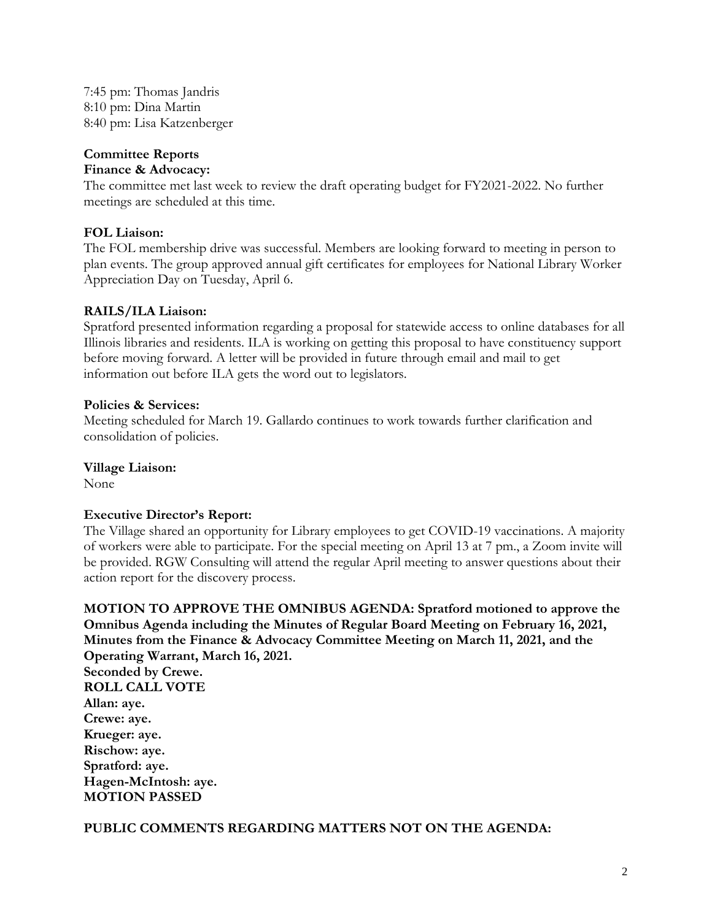7:45 pm: Thomas Jandris 8:10 pm: Dina Martin 8:40 pm: Lisa Katzenberger

# **Committee Reports**

#### **Finance & Advocacy:**

The committee met last week to review the draft operating budget for FY2021-2022. No further meetings are scheduled at this time.

### **FOL Liaison:**

The FOL membership drive was successful. Members are looking forward to meeting in person to plan events. The group approved annual gift certificates for employees for National Library Worker Appreciation Day on Tuesday, April 6.

# **RAILS/ILA Liaison:**

Spratford presented information regarding a proposal for statewide access to online databases for all Illinois libraries and residents. ILA is working on getting this proposal to have constituency support before moving forward. A letter will be provided in future through email and mail to get information out before ILA gets the word out to legislators.

### **Policies & Services:**

Meeting scheduled for March 19. Gallardo continues to work towards further clarification and consolidation of policies.

#### **Village Liaison:**

None

### **Executive Director's Report:**

The Village shared an opportunity for Library employees to get COVID-19 vaccinations. A majority of workers were able to participate. For the special meeting on April 13 at 7 pm., a Zoom invite will be provided. RGW Consulting will attend the regular April meeting to answer questions about their action report for the discovery process.

**MOTION TO APPROVE THE OMNIBUS AGENDA: Spratford motioned to approve the Omnibus Agenda including the Minutes of Regular Board Meeting on February 16, 2021, Minutes from the Finance & Advocacy Committee Meeting on March 11, 2021, and the Operating Warrant, March 16, 2021.** 

**Seconded by Crewe. ROLL CALL VOTE Allan: aye. Crewe: aye. Krueger: aye. Rischow: aye. Spratford: aye. Hagen-McIntosh: aye. MOTION PASSED**

### **PUBLIC COMMENTS REGARDING MATTERS NOT ON THE AGENDA:**